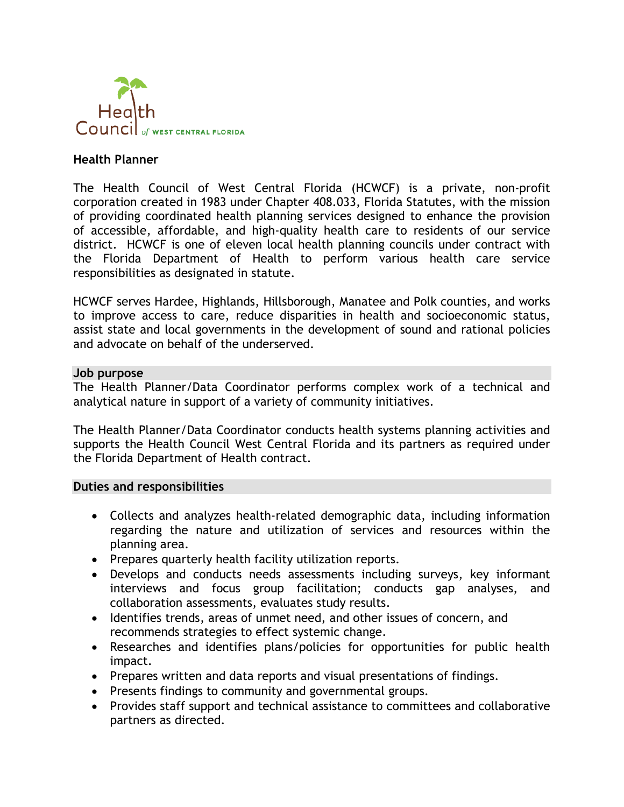

### **Health Planner**

The Health Council of West Central Florida (HCWCF) is a private, non-profit corporation created in 1983 under Chapter 408.033, Florida Statutes, with the mission of providing coordinated health planning services designed to enhance the provision of accessible, affordable, and high-quality health care to residents of our service district. HCWCF is one of eleven local health planning councils under contract with the Florida Department of Health to perform various health care service responsibilities as designated in statute.

HCWCF serves Hardee, Highlands, Hillsborough, Manatee and Polk counties, and works to improve access to care, reduce disparities in health and socioeconomic status, assist state and local governments in the development of sound and rational policies and advocate on behalf of the underserved.

#### **Job purpose**

The Health Planner/Data Coordinator performs complex work of a technical and analytical nature in support of a variety of community initiatives.

The Health Planner/Data Coordinator conducts health systems planning activities and supports the Health Council West Central Florida and its partners as required under the Florida Department of Health contract.

#### **Duties and responsibilities**

- Collects and analyzes health-related demographic data, including information regarding the nature and utilization of services and resources within the planning area.
- Prepares quarterly health facility utilization reports.
- Develops and conducts needs assessments including surveys, key informant interviews and focus group facilitation; conducts gap analyses, and collaboration assessments, evaluates study results.
- Identifies trends, areas of unmet need, and other issues of concern, and recommends strategies to effect systemic change.
- Researches and identifies plans/policies for opportunities for public health impact.
- Prepares written and data reports and visual presentations of findings.
- Presents findings to community and governmental groups.
- Provides staff support and technical assistance to committees and collaborative partners as directed.